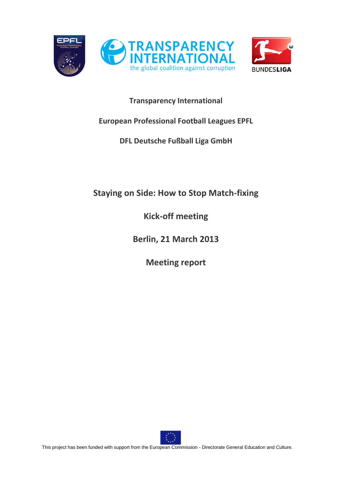

# **Transparency International**

# **European Professional Football Leagues EPFL**

# **DFL Deutsche Fußball Liga GmbH**

# **Staying on Side: How to Stop Match-fixing**

**Kick-off meeting**

**Berlin, 21 March 2013**

**Meeting report**

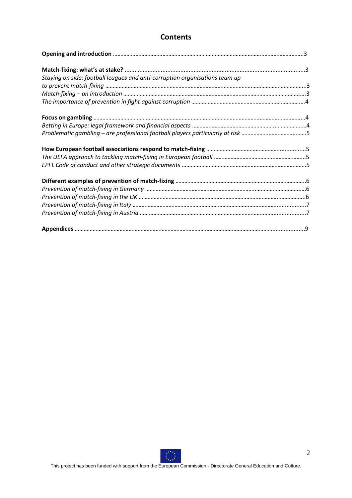# **Contents**

| Staying on side: football leagues and anti-corruption organisations team up |  |
|-----------------------------------------------------------------------------|--|
|                                                                             |  |
|                                                                             |  |
|                                                                             |  |
|                                                                             |  |
|                                                                             |  |
|                                                                             |  |
|                                                                             |  |
|                                                                             |  |
|                                                                             |  |
|                                                                             |  |
|                                                                             |  |
|                                                                             |  |
|                                                                             |  |
|                                                                             |  |
|                                                                             |  |

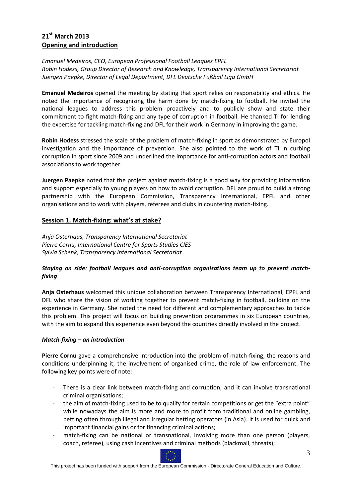# **21st March 2013 Opening and introduction**

# *Emanuel Medeiros, CEO, European Professional Football Leagues EPFL Robin Hodess, Group Director of Research and Knowledge, Transparency International Secretariat Juergen Paepke, Director of Legal Department, DFL Deutsche Fußball Liga GmbH*

**Emanuel Medeiros** opened the meeting by stating that sport relies on responsibility and ethics. He noted the importance of recognizing the harm done by match-fixing to football. He invited the national leagues to address this problem proactively and to publicly show and state their commitment to fight match-fixing and any type of corruption in football. He thanked TI for lending the expertise for tackling match-fixing and DFL for their work in Germany in improving the game.

**Robin Hodess** stressed the scale of the problem of match-fixing in sport as demonstrated by Europol investigation and the importance of prevention. She also pointed to the work of TI in curbing corruption in sport since 2009 and underlined the importance for anti-corruption actors and football associations to work together.

**Juergen Paepke** noted that the project against match-fixing is a good way for providing information and support especially to young players on how to avoid corruption. DFL are proud to build a strong partnership with the European Commission, Transparency International, EPFL and other organisations and to work with players, referees and clubs in countering match-fixing.

# **Session 1. Match-fixing: what's at stake?**

*Anja Osterhaus, Transparency International Secretariat Pierre Cornu, International Centre for Sports Studies CIES Sylvia Schenk, Transparency International Secretariat* 

# *Staying on side: football leagues and anti-corruption organisations team up to prevent matchfixing*

**Anja Osterhaus** welcomed this unique collaboration between Transparency International, EPFL and DFL who share the vision of working together to prevent match-fixing in football, building on the experience in Germany. She noted the need for different and complementary approaches to tackle this problem. This project will focus on building prevention programmes in six European countries, with the aim to expand this experience even beyond the countries directly involved in the project.

# *Match-fixing – an introduction*

**Pierre Cornu** gave a comprehensive introduction into the problem of match-fixing, the reasons and conditions underpinning it, the involvement of organised crime, the role of law enforcement. The following key points were of note:

- There is a clear link between match-fixing and corruption, and it can involve transnational criminal organisations;
- the aim of match-fixing used to be to qualify for certain competitions or get the "extra point" while nowadays the aim is more and more to profit from traditional and online gambling, betting often through illegal and irregular betting operators (in Asia). It is used for quick and important financial gains or for financing criminal actions;
- match-fixing can be national or transnational, involving more than one person (players, coach, referee), using cash incentives and criminal methods (blackmail, threats);

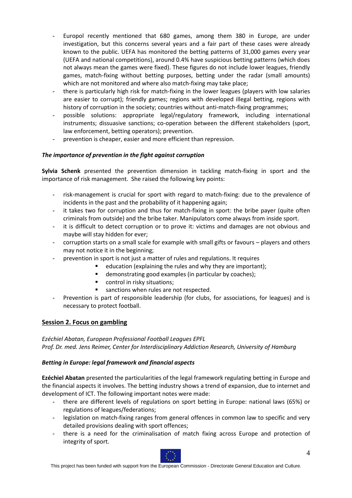- Europol recently mentioned that 680 games, among them 380 in Europe, are under investigation, but this concerns several years and a fair part of these cases were already known to the public. UEFA has monitored the betting patterns of 31,000 games every year (UEFA and national competitions), around 0.4% have suspicious betting patterns (which does not always mean the games were fixed). These figures do not include lower leagues, friendly games, match-fixing without betting purposes, betting under the radar (small amounts) which are not monitored and where also match-fixing may take place;
- there is particularly high risk for match-fixing in the lower leagues (players with low salaries are easier to corrupt); friendly games; regions with developed illegal betting, regions with history of corruption in the society; countries without anti-match-fixing programmes;
- possible solutions: appropriate legal/regulatory framework, including international instruments; dissuasive sanctions; co-operation between the different stakeholders (sport, law enforcement, betting operators); prevention.
- prevention is cheaper, easier and more efficient than repression.

# *The importance of prevention in the fight against corruption*

**Sylvia Schenk** presented the prevention dimension in tackling match-fixing in sport and the importance of risk management. She raised the following key points:

- risk-management is crucial for sport with regard to match-fixing: due to the prevalence of incidents in the past and the probability of it happening again;
- it takes two for corruption and thus for match-fixing in sport: the bribe payer (quite often criminals from outside) and the bribe taker. Manipulators come always from inside sport.
- it is difficult to detect corruption or to prove it: victims and damages are not obvious and maybe will stay hidden for ever;
- corruption starts on a small scale for example with small gifts or favours players and others may not notice it in the beginning;
	- prevention in sport is not just a matter of rules and regulations. It requires
		- education (explaining the rules and why they are important);
			- demonstrating good examples (in particular by coaches);
			- **CONTIANAL EXAMPLE 1** control in risky situations;
			- sanctions when rules are not respected.
- Prevention is part of responsible leadership (for clubs, for associations, for leagues) and is necessary to protect football.

# **Session 2. Focus on gambling**

*Ezéchiel Abatan, European Professional Football Leagues EPFL Prof. Dr. med. Jens Reimer, Center for Interdisciplinary Addiction Research, University of Hamburg*

# *Betting in Europe: legal framework and financial aspects*

**Ezéchiel Abatan** presented the particularities of the legal framework regulating betting in Europe and the financial aspects it involves. The betting industry shows a trend of expansion, due to internet and development of ICT. The following important notes were made:

- there are different levels of regulations on sport betting in Europe: national laws (65%) or regulations of leagues/federations;
- legislation on match-fixing ranges from general offences in common law to specific and very detailed provisions dealing with sport offences;
- there is a need for the criminalisation of match fixing across Europe and protection of integrity of sport.

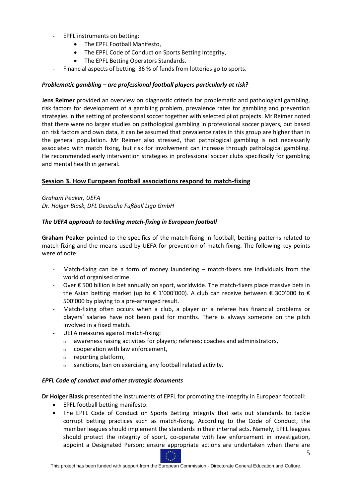- EPFL instruments on betting:
	- The EPFL Football Manifesto.
	- The EPFL Code of Conduct on Sports Betting Integrity,
	- The EPFL Betting Operators Standards.
- Financial aspects of betting: 36 % of funds from lotteries go to sports.

# *Problematic gambling – are professional football players particularly at risk?*

**Jens Reimer** provided an overview on diagnostic criteria for problematic and pathological gambling, risk factors for development of a gambling problem, prevalence rates for gambling and prevention strategies in the setting of professional soccer together with selected pilot projects. Mr Reimer noted that there were no larger studies on pathological gambling in professional soccer players, but based on risk factors and own data, it can be assumed that prevalence rates in this group are higher than in the general population. Mr Reimer also stressed, that pathological gambling is not necessarily associated with match fixing, but risk for involvement can increase through pathological gambling. He recommended early intervention strategies in professional soccer clubs specifically for gambling and mental health in general.

# **Session 3. How European football associations respond to match-fixing**

*Graham Peaker, UEFA Dr. Holger Blask, DFL Deutsche Fußball Liga GmbH*

# *The UEFA approach to tackling match-fixing in European football*

**Graham Peaker** pointed to the specifics of the match-fixing in football, betting patterns related to match-fixing and the means used by UEFA for prevention of match-fixing. The following key points were of note:

- Match-fixing can be a form of money laundering  $-$  match-fixers are individuals from the world of organised crime.
- Over € 500 billion is bet annually on sport, worldwide. The match-fixers place massive bets in the Asian betting market (up to  $\epsilon$  1'000'000). A club can receive between  $\epsilon$  300'000 to  $\epsilon$ 500'000 by playing to a pre-arranged result.
- Match-fixing often occurs when a club, a player or a referee has financial problems or players' salaries have not been paid for months. There is always someone on the pitch involved in a fixed match.
- UEFA measures against match-fixing:
	- o awareness raising activities for players; referees; coaches and administrators,
	- o cooperation with law enforcement,
	- o reporting platform,
	- o sanctions, ban on exercising any football related activity.

#### *EPFL Code of conduct and other strategic documents*

**Dr Holger Blask** presented the instruments of EPFL for promoting the integrity in European football:

- EPFL football betting manifesto.
- The EPFL Code of Conduct on Sports Betting Integrity that sets out standards to tackle corrupt betting practices such as match-fixing. According to the Code of Conduct, the member leagues should implement the standards in their internal acts. Namely, EPFL leagues should protect the integrity of sport, co-operate with law enforcement in investigation, appoint a Designated Person; ensure appropriate actions are undertaken when there are

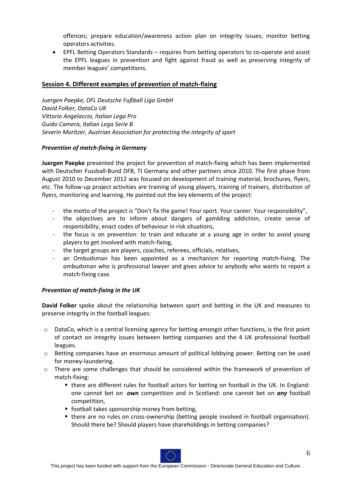offences; prepare education/awareness action plan on integrity issues; monitor betting operators activities.

 EPFL Betting Operators Standards – requires from betting operators to co-operate and assist the EPFL leagues in prevention and fight against fraud as well as preserving integrity of member leagues' competitions.

# **Session 4. Different examples of prevention of match-fixing**

*Juergen Paepke, DFL Deutsche Fußball Liga GmbH David Folker, DataCo UK Vittorio Angelaccio, Italian Lega Pro Guido Camera, Italian Lega Serie B Severin Moritzer, Austrian Association for protecting the integrity of sport* 

#### *Prevention of match-fixing in Germany*

**Juergen Paepke** presented the project for prevention of match-fixing which has been implemented with Deutscher Fussball-Bund DFB, TI Germany and other partners since 2010. The first phase from August 2010 to December 2012 was focused on development of training material, brochures, flyers, etc. The follow-up project activities are training of young players, training of trainers, distribution of flyers, monitoring and learning. He pointed out the key elements of the project:

- the motto of the project is "Don't fix the game! Your sport. Your career. Your responsibility",
- the objectives are to inform about dangers of gambling addiction, create sense of responsibility, enact codes of behaviour in risk situations,
- the focus is on prevention: to train and educate at a young age in order to avoid young players to get involved with match-fixing,
- the target groups are players, coaches, referees, officials, relatives,
- an Ombudsman has been appointed as a mechanism for reporting match-fixing. The ombudsman who is professional lawyer and gives advice to anybody who wants to report a match-fixing case.

#### *Prevention of match-fixing in the UK*

**David Folker** spoke about the relationship between sport and betting in the UK and measures to preserve integrity in the football leagues:

- o DataCo, which is a central licensing agency for betting amongst other functions, is the first point of contact on integrity issues between betting companies and the 4 UK professional football leagues.
- o Betting companies have an enormous amount of political lobbying power. Betting can be used for money-laundering.
- o There are some challenges that should be considered within the framework of prevention of match-fixing:
	- there are different rules for football actors for betting on football in the UK. In England: one cannot bet on *own* competition and in Scotland: one cannot bet on *any* football competition,
	- **f** football takes sponsorship money from betting,
	- there are no rules on cross-ownership (betting people involved in football organisation). Should there be? Should players have shareholdings in betting companies?

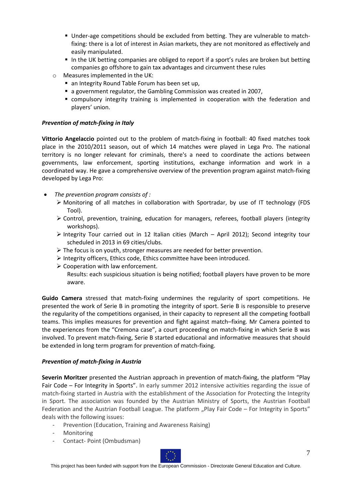- Under-age competitions should be excluded from betting. They are vulnerable to matchfixing: there is a lot of interest in Asian markets, they are not monitored as effectively and easily manipulated.
- In the UK betting companies are obliged to report if a sport's rules are broken but betting companies go offshore to gain tax advantages and circumvent these rules
- o Measures implemented in the UK:
	- an Integrity Round Table Forum has been set up,
	- a government regulator, the Gambling Commission was created in 2007,
	- compulsory integrity training is implemented in cooperation with the federation and players' union.

# *Prevention of match-fixing in Italy*

**Vittorio Angelaccio** pointed out to the problem of match-fixing in football: 40 fixed matches took place in the 2010/2011 season, out of which 14 matches were played in Lega Pro. The national territory is no longer relevant for criminals, there's a need to coordinate the actions between governments, law enforcement, sporting institutions, exchange information and work in a coordinated way. He gave a comprehensive overview of the prevention program against match-fixing developed by Lega Pro:

- *The prevention program consists of :*
	- $\triangleright$  Monitoring of all matches in collaboration with Sportradar, by use of IT technology (FDS Tool).
	- $\triangleright$  Control, prevention, training, education for managers, referees, football players (integrity workshops).
	- Integrity Tour carried out in 12 Italian cities (March April 2012); Second integrity tour scheduled in 2013 in 69 cities/clubs.
	- $\triangleright$  The focus is on youth, stronger measures are needed for better prevention.
	- Integrity officers, Ethics code, Ethics committee have been introduced.
	- $\triangleright$  Cooperation with law enforcement.

Results: each suspicious situation is being notified; football players have proven to be more aware.

**Guido Camera** stressed that match-fixing undermines the regularity of sport competitions. He presented the work of Serie B in promoting the integrity of sport. Serie B is responsible to preserve the regularity of the competitions organised, in their capacity to represent all the competing football teams. This implies measures for prevention and fight against match–fixing. Mr Camera pointed to the experiences from the "Cremona case", a court proceeding on match-fixing in which Serie B was involved. To prevent match-fixing, Serie B started educational and informative measures that should be extended in long term program for prevention of match-fixing.

# *Prevention of match-fixing in Austria*

**Severin Moritzer** presented the Austrian approach in prevention of match-fixing, the platform "Play Fair Code – For Integrity in Sports". In early summer 2012 intensive activities regarding the issue of match-fixing started in Austria with the establishment of the Association for Protecting the Integrity in Sport. The association was founded by the Austrian Ministry of Sports, the Austrian Football Federation and the Austrian Football League. The platform "Play Fair Code – For Integrity in Sports" deals with the following issues:

- Prevention (Education, Training and Awareness Raising)
- Monitoring
- Contact- Point (Ombudsman)

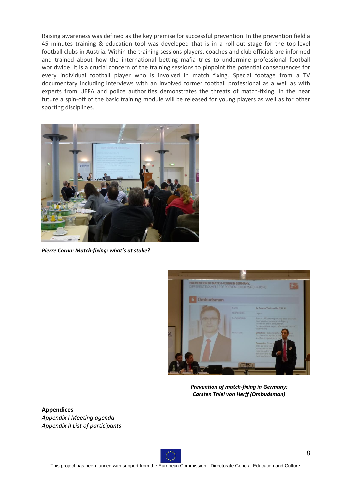Raising awareness was defined as the key premise for successful prevention. In the prevention field a 45 minutes training & education tool was developed that is in a roll-out stage for the top-level football clubs in Austria. Within the training sessions players, coaches and club officials are informed and trained about how the international betting mafia tries to undermine professional football worldwide. It is a crucial concern of the training sessions to pinpoint the potential consequences for every individual football player who is involved in match fixing. Special footage from a TV documentary including interviews with an involved former football professional as a well as with experts from UEFA and police authorities demonstrates the threats of match-fixing. In the near future a spin-off of the basic training module will be released for young players as well as for other sporting disciplines.



*Pierre Cornu: Match-fixing: what's at stake?*



*Prevention of match-fixing in Germany: Carsten Thiel von Herff (Ombudsman)*

**Appendices**  *Appendix I Meeting agenda Appendix II List of participants* 

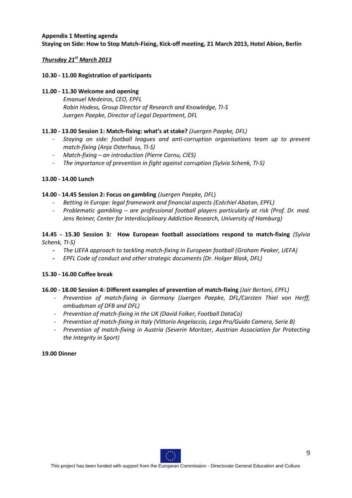# **Appendix 1 Meeting agenda Staying on Side: How to Stop Match-Fixing, Kick-off meeting, 21 March 2013, Hotel Abion, Berlin**

# *Thursday 21st March 2013*

# **10.30 - 11.00 Registration of participants**

#### **11.00 - 11.30 Welcome and opening**

*Emanuel Medeiros, CEO, EPFL Robin Hodess, Group Director of Research and Knowledge, TI-S Juergen Paepke, Director of Legal Department, DFL*

# **11.30 - 13.00 Session 1: Match-fixing: what's at stake?** *(Juergen Paepke, DFL)*

- *- Staying on side: football leagues and anti-corruption organisations team up to prevent match-fixing (Anja Osterhaus, TI-S)*
- *- Match-fixing – an introduction (Pierre Cornu, CIES)*
- *- The importance of prevention in fight against corruption (Sylvia Schenk, TI-S)*

# **13.00 - 14.00 Lunch**

# **14.00 - 14.45 Session 2: Focus on gambling** *(Juergen Paepke, DFL*)

- *- Betting in Europe: legal framework and financial aspects (Ezéchiel Abatan*, *EPFL)*
- *- Problematic gambling – are professional football players particularly at risk (Prof. Dr. med. Jens Reimer, Center for Interdisciplinary Addiction Research, University of Hamburg)*

# **14.45 - 15.30 Session 3: How European football associations respond to match-fixing** *(Sylvia Schenk, TI-S)*

- **-** *The UEFA approach to tackling match-fixing in European football (Graham Peaker, UEFA)*
- **-** *EPFL Code of conduct and other strategic documents (Dr. Holger Blask, DFL)*

#### **15.30 - 16.00 Coffee break**

#### **16.00 - 18.00 Session 4: Different examples of prevention of match-fixing** *(Jair Bertoni, EPFL)*

- *- Prevention of match-fixing in Germany (Juergen Paepke, DFL/Carsten Thiel von Herff, ombudsman of DFB and DFL)*
- *Prevention of match-fixing in the UK (David Folker, Football DataCo)*
- *- Prevention of match-fixing in Italy (Vittorio Angelaccio, Lega Pro/Guido Camera, Serie B)*
- *- Prevention of match-fixing in Austria (Severin Moritzer, Austrian Association for Protecting the Integrity in Sport)*

#### **19.00 Dinner**